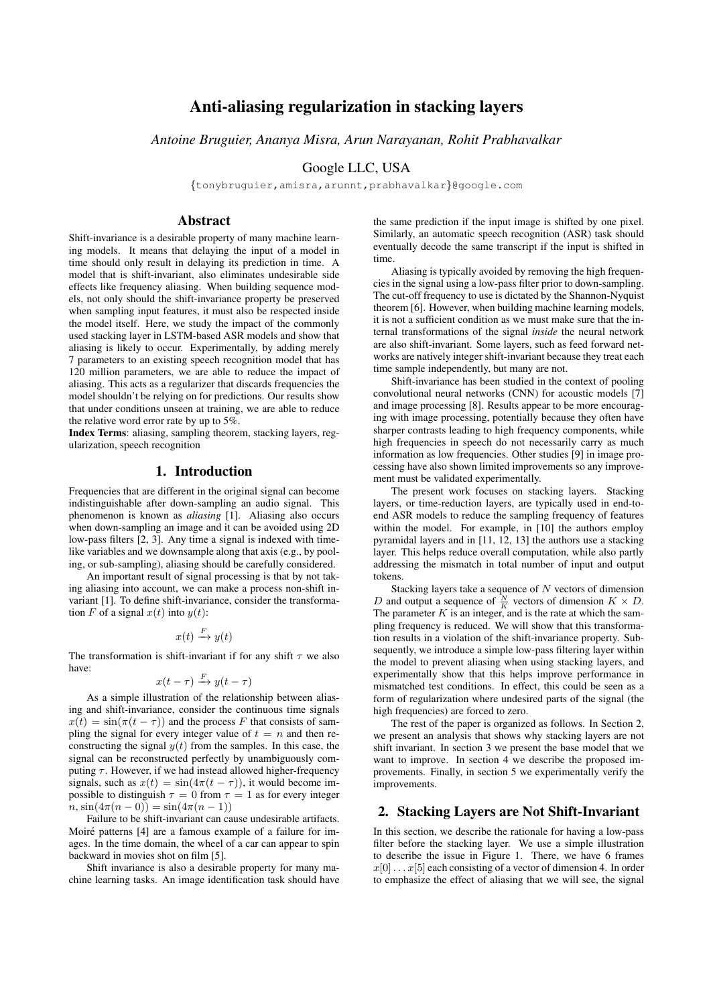# Anti-aliasing regularization in stacking layers

*Antoine Bruguier, Ananya Misra, Arun Narayanan, Rohit Prabhavalkar*

### Google LLC, USA

{tonybruguier,amisra,arunnt,prabhavalkar}@google.com

### Abstract

Shift-invariance is a desirable property of many machine learning models. It means that delaying the input of a model in time should only result in delaying its prediction in time. A model that is shift-invariant, also eliminates undesirable side effects like frequency aliasing. When building sequence models, not only should the shift-invariance property be preserved when sampling input features, it must also be respected inside the model itself. Here, we study the impact of the commonly used stacking layer in LSTM-based ASR models and show that aliasing is likely to occur. Experimentally, by adding merely 7 parameters to an existing speech recognition model that has 120 million parameters, we are able to reduce the impact of aliasing. This acts as a regularizer that discards frequencies the model shouldn't be relying on for predictions. Our results show that under conditions unseen at training, we are able to reduce the relative word error rate by up to 5%.

Index Terms: aliasing, sampling theorem, stacking layers, regularization, speech recognition

#### 1. Introduction

Frequencies that are different in the original signal can become indistinguishable after down-sampling an audio signal. This phenomenon is known as *aliasing* [1]. Aliasing also occurs when down-sampling an image and it can be avoided using 2D low-pass filters [2, 3]. Any time a signal is indexed with timelike variables and we downsample along that axis (e.g., by pooling, or sub-sampling), aliasing should be carefully considered.

An important result of signal processing is that by not taking aliasing into account, we can make a process non-shift invariant [1]. To define shift-invariance, consider the transformation F of a signal  $x(t)$  into  $y(t)$ :

$$
x(t) \xrightarrow{F} y(t)
$$

The transformation is shift-invariant if for any shift  $\tau$  we also have:

$$
x(t-\tau) \xrightarrow{F} y(t-\tau)
$$

As a simple illustration of the relationship between aliasing and shift-invariance, consider the continuous time signals  $x(t) = \sin(\pi(t - \tau))$  and the process F that consists of sampling the signal for every integer value of  $t = n$  and then reconstructing the signal  $y(t)$  from the samples. In this case, the signal can be reconstructed perfectly by unambiguously computing  $\tau$ . However, if we had instead allowed higher-frequency signals, such as  $x(t) = \sin(4\pi(t - \tau))$ , it would become impossible to distinguish  $\tau = 0$  from  $\tau = 1$  as for every integer  $n, \sin(4\pi(n-0)) = \sin(4\pi(n-1))$ 

Failure to be shift-invariant can cause undesirable artifacts. Moiré patterns [4] are a famous example of a failure for images. In the time domain, the wheel of a car can appear to spin backward in movies shot on film [5].

Shift invariance is also a desirable property for many machine learning tasks. An image identification task should have the same prediction if the input image is shifted by one pixel. Similarly, an automatic speech recognition (ASR) task should eventually decode the same transcript if the input is shifted in time.

Aliasing is typically avoided by removing the high frequencies in the signal using a low-pass filter prior to down-sampling. The cut-off frequency to use is dictated by the Shannon-Nyquist theorem [6]. However, when building machine learning models, it is not a sufficient condition as we must make sure that the internal transformations of the signal *inside* the neural network are also shift-invariant. Some layers, such as feed forward networks are natively integer shift-invariant because they treat each time sample independently, but many are not.

Shift-invariance has been studied in the context of pooling convolutional neural networks (CNN) for acoustic models [7] and image processing [8]. Results appear to be more encouraging with image processing, potentially because they often have sharper contrasts leading to high frequency components, while high frequencies in speech do not necessarily carry as much information as low frequencies. Other studies [9] in image processing have also shown limited improvements so any improvement must be validated experimentally.

The present work focuses on stacking layers. Stacking layers, or time-reduction layers, are typically used in end-toend ASR models to reduce the sampling frequency of features within the model. For example, in [10] the authors employ pyramidal layers and in [11, 12, 13] the authors use a stacking layer. This helps reduce overall computation, while also partly addressing the mismatch in total number of input and output tokens.

Stacking layers take a sequence of  $N$  vectors of dimension D and output a sequence of  $\frac{N}{K}$  vectors of dimension  $K \times D$ . The parameter  $K$  is an integer, and is the rate at which the sampling frequency is reduced. We will show that this transformation results in a violation of the shift-invariance property. Subsequently, we introduce a simple low-pass filtering layer within the model to prevent aliasing when using stacking layers, and experimentally show that this helps improve performance in mismatched test conditions. In effect, this could be seen as a form of regularization where undesired parts of the signal (the high frequencies) are forced to zero.

The rest of the paper is organized as follows. In Section 2, we present an analysis that shows why stacking layers are not shift invariant. In section 3 we present the base model that we want to improve. In section 4 we describe the proposed improvements. Finally, in section 5 we experimentally verify the improvements.

# 2. Stacking Layers are Not Shift-Invariant

In this section, we describe the rationale for having a low-pass filter before the stacking layer. We use a simple illustration to describe the issue in Figure 1. There, we have 6 frames  $x[0] \ldots x[5]$  each consisting of a vector of dimension 4. In order to emphasize the effect of aliasing that we will see, the signal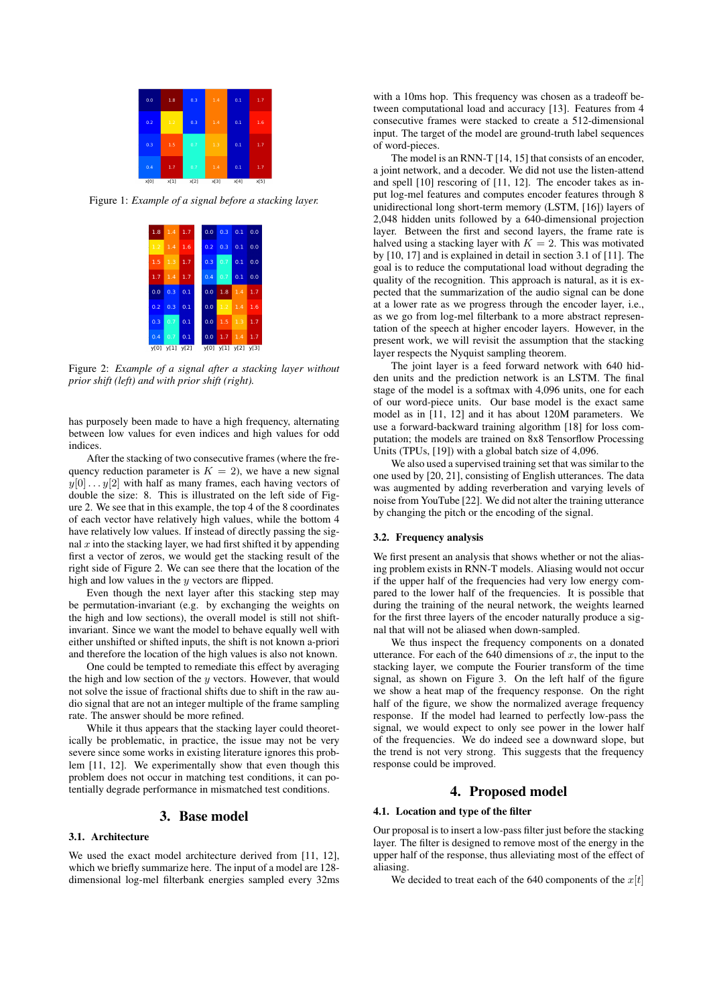| 0.0  | 1.8  | 0.3  | 1.4  | 0.1  | 1.7  |
|------|------|------|------|------|------|
| 0.2  | 1.2  | 0.3  | 1.4  | 0.1  | 1.6  |
| 0.3  | 1.5  | 0.7  | 1.3  | 0.1  | 1.7  |
| 0.4  | 1.7  | 0.7  | 1.4  | 0.1  | 1.7  |
| x[0] | x[1] | x[2] | x[3] | x[4] | x[5] |

Figure 1: *Example of a signal before a stacking layer.*

| $1.8$ 1.4 1.7             |                                    |  | $0.0$ $0.3$ $0.1$ $0.0$ |  |
|---------------------------|------------------------------------|--|-------------------------|--|
| $1.2$ 1.4 1.6             |                                    |  | $0.2$ 0.3 0.1 0.0       |  |
| $1.5$ 1.3 1.7             |                                    |  | $0.3$ 0.7 0.1 0.0       |  |
| $1.7$ 1.4 1.7             |                                    |  | $0.4$ 0.7 0.1 0.0       |  |
| $0.0 \quad 0.3 \quad 0.1$ |                                    |  | $0.0$ 1.8 1.4 1.7       |  |
| $0.2 \quad 0.3 \quad 0.1$ |                                    |  | $0.0$ 1.2 1.4 1.6       |  |
| $0.3\ 0.7\ 0.1$           |                                    |  | $0.0$ 1.5 1.3 1.7       |  |
| $0.4$ 0.7 0.1             |                                    |  | $0.0$ 1.7 1.4 1.7       |  |
|                           | y[0] y[1] y[2] y[0] y[1] y[2] y[3] |  |                         |  |

Figure 2: *Example of a signal after a stacking layer without prior shift (left) and with prior shift (right).*

has purposely been made to have a high frequency, alternating between low values for even indices and high values for odd indices.

After the stacking of two consecutive frames (where the frequency reduction parameter is  $K = 2$ ), we have a new signal  $y[0] \dots y[2]$  with half as many frames, each having vectors of double the size: 8. This is illustrated on the left side of Figure 2. We see that in this example, the top 4 of the 8 coordinates of each vector have relatively high values, while the bottom 4 have relatively low values. If instead of directly passing the signal  $x$  into the stacking layer, we had first shifted it by appending first a vector of zeros, we would get the stacking result of the right side of Figure 2. We can see there that the location of the high and low values in the y vectors are flipped.

Even though the next layer after this stacking step may be permutation-invariant (e.g. by exchanging the weights on the high and low sections), the overall model is still not shiftinvariant. Since we want the model to behave equally well with either unshifted or shifted inputs, the shift is not known a-priori and therefore the location of the high values is also not known.

One could be tempted to remediate this effect by averaging the high and low section of the  $y$  vectors. However, that would not solve the issue of fractional shifts due to shift in the raw audio signal that are not an integer multiple of the frame sampling rate. The answer should be more refined.

While it thus appears that the stacking layer could theoretically be problematic, in practice, the issue may not be very severe since some works in existing literature ignores this problem [11, 12]. We experimentally show that even though this problem does not occur in matching test conditions, it can potentially degrade performance in mismatched test conditions.

### 3. Base model

### 3.1. Architecture

We used the exact model architecture derived from [11, 12], which we briefly summarize here. The input of a model are 128 dimensional log-mel filterbank energies sampled every 32ms with a 10ms hop. This frequency was chosen as a tradeoff between computational load and accuracy [13]. Features from 4 consecutive frames were stacked to create a 512-dimensional input. The target of the model are ground-truth label sequences of word-pieces.

The model is an RNN-T [14, 15] that consists of an encoder, a joint network, and a decoder. We did not use the listen-attend and spell [10] rescoring of [11, 12]. The encoder takes as input log-mel features and computes encoder features through 8 unidirectional long short-term memory (LSTM, [16]) layers of 2,048 hidden units followed by a 640-dimensional projection layer. Between the first and second layers, the frame rate is halved using a stacking layer with  $K = 2$ . This was motivated by [10, 17] and is explained in detail in section 3.1 of [11]. The goal is to reduce the computational load without degrading the quality of the recognition. This approach is natural, as it is expected that the summarization of the audio signal can be done at a lower rate as we progress through the encoder layer, i.e., as we go from log-mel filterbank to a more abstract representation of the speech at higher encoder layers. However, in the present work, we will revisit the assumption that the stacking layer respects the Nyquist sampling theorem.

The joint layer is a feed forward network with 640 hidden units and the prediction network is an LSTM. The final stage of the model is a softmax with 4,096 units, one for each of our word-piece units. Our base model is the exact same model as in [11, 12] and it has about 120M parameters. We use a forward-backward training algorithm [18] for loss computation; the models are trained on 8x8 Tensorflow Processing Units (TPUs, [19]) with a global batch size of 4,096.

We also used a supervised training set that was similar to the one used by [20, 21], consisting of English utterances. The data was augmented by adding reverberation and varying levels of noise from YouTube [22]. We did not alter the training utterance by changing the pitch or the encoding of the signal.

#### 3.2. Frequency analysis

We first present an analysis that shows whether or not the aliasing problem exists in RNN-T models. Aliasing would not occur if the upper half of the frequencies had very low energy compared to the lower half of the frequencies. It is possible that during the training of the neural network, the weights learned for the first three layers of the encoder naturally produce a signal that will not be aliased when down-sampled.

We thus inspect the frequency components on a donated utterance. For each of the 640 dimensions of  $x$ , the input to the stacking layer, we compute the Fourier transform of the time signal, as shown on Figure 3. On the left half of the figure we show a heat map of the frequency response. On the right half of the figure, we show the normalized average frequency response. If the model had learned to perfectly low-pass the signal, we would expect to only see power in the lower half of the frequencies. We do indeed see a downward slope, but the trend is not very strong. This suggests that the frequency response could be improved.

# 4. Proposed model

### 4.1. Location and type of the filter

Our proposal is to insert a low-pass filter just before the stacking layer. The filter is designed to remove most of the energy in the upper half of the response, thus alleviating most of the effect of aliasing.

We decided to treat each of the 640 components of the  $x[t]$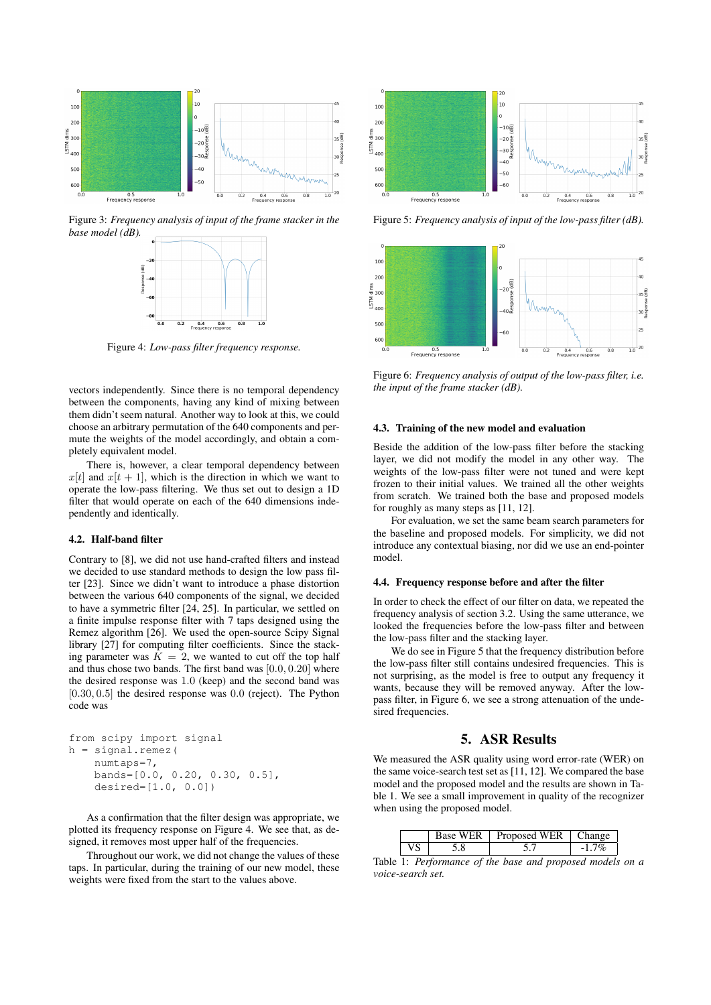

Figure 3: *Frequency analysis of input of the frame stacker in the base model (dB).*



Figure 4: *Low-pass filter frequency response.*

vectors independently. Since there is no temporal dependency between the components, having any kind of mixing between them didn't seem natural. Another way to look at this, we could choose an arbitrary permutation of the 640 components and permute the weights of the model accordingly, and obtain a completely equivalent model.

There is, however, a clear temporal dependency between  $x[t]$  and  $x[t + 1]$ , which is the direction in which we want to operate the low-pass filtering. We thus set out to design a 1D filter that would operate on each of the 640 dimensions independently and identically.

#### 4.2. Half-band filter

Contrary to [8], we did not use hand-crafted filters and instead we decided to use standard methods to design the low pass filter [23]. Since we didn't want to introduce a phase distortion between the various 640 components of the signal, we decided to have a symmetric filter [24, 25]. In particular, we settled on a finite impulse response filter with 7 taps designed using the Remez algorithm [26]. We used the open-source Scipy Signal library [27] for computing filter coefficients. Since the stacking parameter was  $K = 2$ , we wanted to cut off the top half and thus chose two bands. The first band was [0.0, 0.20] where the desired response was 1.0 (keep) and the second band was  $[0.30, 0.5]$  the desired response was  $0.0$  (reject). The Python code was

```
from scipy import signal
h = signal.remez(
   numtaps=7,
   bands=[0.0, 0.20, 0.30, 0.5],
    desired=[1.0, 0.0])
```
As a confirmation that the filter design was appropriate, we plotted its frequency response on Figure 4. We see that, as designed, it removes most upper half of the frequencies.

Throughout our work, we did not change the values of these taps. In particular, during the training of our new model, these weights were fixed from the start to the values above.



Figure 5: *Frequency analysis of input of the low-pass filter (dB).*



Figure 6: *Frequency analysis of output of the low-pass filter, i.e. the input of the frame stacker (dB).*

#### 4.3. Training of the new model and evaluation

Beside the addition of the low-pass filter before the stacking layer, we did not modify the model in any other way. The weights of the low-pass filter were not tuned and were kept frozen to their initial values. We trained all the other weights from scratch. We trained both the base and proposed models for roughly as many steps as [11, 12].

For evaluation, we set the same beam search parameters for the baseline and proposed models. For simplicity, we did not introduce any contextual biasing, nor did we use an end-pointer model.

### 4.4. Frequency response before and after the filter

In order to check the effect of our filter on data, we repeated the frequency analysis of section 3.2. Using the same utterance, we looked the frequencies before the low-pass filter and between the low-pass filter and the stacking layer.

We do see in Figure 5 that the frequency distribution before the low-pass filter still contains undesired frequencies. This is not surprising, as the model is free to output any frequency it wants, because they will be removed anyway. After the lowpass filter, in Figure 6, we see a strong attenuation of the undesired frequencies.

### 5. ASR Results

We measured the ASR quality using word error-rate (WER) on the same voice-search test set as [11, 12]. We compared the base model and the proposed model and the results are shown in Table 1. We see a small improvement in quality of the recognizer when using the proposed model.

|  | Base WER   Proposed WER | ∣ C'hanoe |
|--|-------------------------|-----------|
|  |                         |           |

Table 1: *Performance of the base and proposed models on a voice-search set.*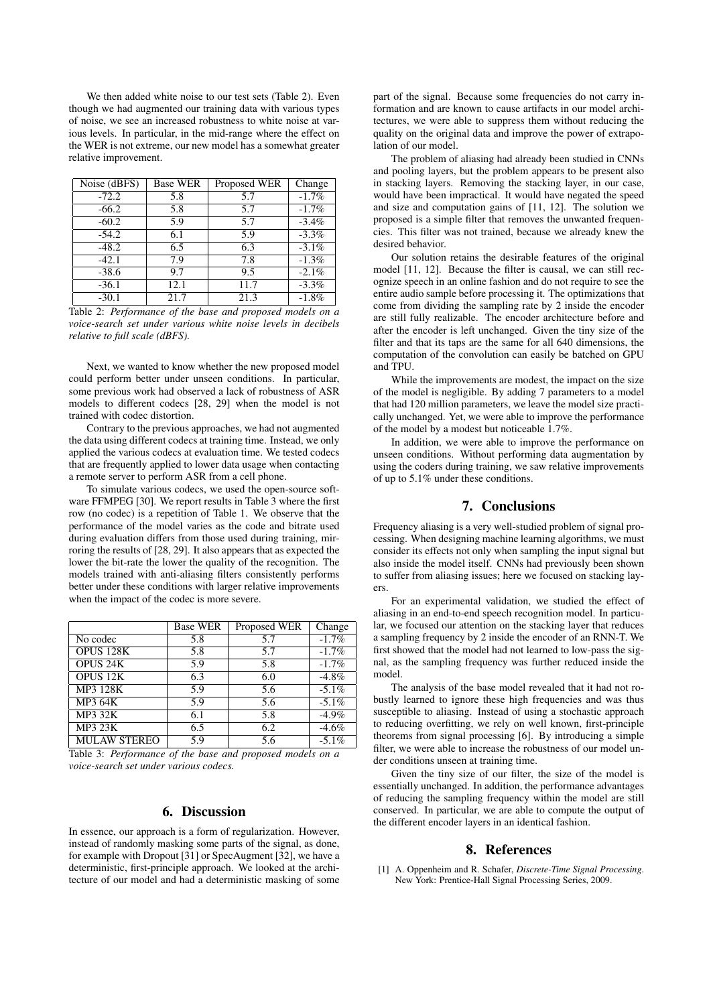We then added white noise to our test sets (Table 2). Even though we had augmented our training data with various types of noise, we see an increased robustness to white noise at various levels. In particular, in the mid-range where the effect on the WER is not extreme, our new model has a somewhat greater relative improvement.

| $\overline{\text{Noise}}$ (dBFS) | <b>Base WER</b> | Proposed WER | Change   |
|----------------------------------|-----------------|--------------|----------|
| $-72.2$                          | 5.8             | 5.7          | $-1.7\%$ |
| $-66.2$                          | 5.8             | 5.7          | $-1.7\%$ |
| $-60.2$                          | 5.9             | 5.7          | $-3.4\%$ |
| $-54.2$                          | 6.1             | 5.9          | $-3.3\%$ |
| $-48.2$                          | 6.5             | 6.3          | $-3.1\%$ |
| $-42.1$                          | 7.9             | 7.8          | $-1.3\%$ |
| $-38.6$                          | 9.7             | 9.5          | $-2.1\%$ |
| $-36.1$                          | 12.1            | 11.7         | $-3.3\%$ |
| $-30.1$                          | 21.7            | 21.3         | $-1.8%$  |

Table 2: *Performance of the base and proposed models on a voice-search set under various white noise levels in decibels relative to full scale (dBFS).*

Next, we wanted to know whether the new proposed model could perform better under unseen conditions. In particular, some previous work had observed a lack of robustness of ASR models to different codecs [28, 29] when the model is not trained with codec distortion.

Contrary to the previous approaches, we had not augmented the data using different codecs at training time. Instead, we only applied the various codecs at evaluation time. We tested codecs that are frequently applied to lower data usage when contacting a remote server to perform ASR from a cell phone.

To simulate various codecs, we used the open-source software FFMPEG [30]. We report results in Table 3 where the first row (no codec) is a repetition of Table 1. We observe that the performance of the model varies as the code and bitrate used during evaluation differs from those used during training, mirroring the results of [28, 29]. It also appears that as expected the lower the bit-rate the lower the quality of the recognition. The models trained with anti-aliasing filters consistently performs better under these conditions with larger relative improvements when the impact of the codec is more severe.

|                     | <b>Base WER</b> | Proposed WER | Change   |
|---------------------|-----------------|--------------|----------|
| No codec            | 5.8             | 5.7          | $-1.7\%$ |
| OPUS 128K           | 5.8             | 5.7          | $-1.7\%$ |
| <b>OPUS 24K</b>     | 5.9             | 5.8          | $-1.7%$  |
| <b>OPUS 12K</b>     | 6.3             | 6.0          | $-4.8\%$ |
| MP3 128K            | 5.9             | 5.6          | $-5.1\%$ |
| <b>MP3 64K</b>      | 5.9             | 5.6          | $-5.1\%$ |
| <b>MP3 32K</b>      | 6.1             | 5.8          | $-4.9\%$ |
| <b>MP3 23K</b>      | 6.5             | 6.2          | $-4.6\%$ |
| <b>MULAW STEREO</b> | 5.9             | 5.6          | $-5.1\%$ |

Table 3: *Performance of the base and proposed models on a voice-search set under various codecs.*

# 6. Discussion

In essence, our approach is a form of regularization. However, instead of randomly masking some parts of the signal, as done, for example with Dropout [31] or SpecAugment [32], we have a deterministic, first-principle approach. We looked at the architecture of our model and had a deterministic masking of some part of the signal. Because some frequencies do not carry information and are known to cause artifacts in our model architectures, we were able to suppress them without reducing the quality on the original data and improve the power of extrapolation of our model.

The problem of aliasing had already been studied in CNNs and pooling layers, but the problem appears to be present also in stacking layers. Removing the stacking layer, in our case, would have been impractical. It would have negated the speed and size and computation gains of [11, 12]. The solution we proposed is a simple filter that removes the unwanted frequencies. This filter was not trained, because we already knew the desired behavior.

Our solution retains the desirable features of the original model [11, 12]. Because the filter is causal, we can still recognize speech in an online fashion and do not require to see the entire audio sample before processing it. The optimizations that come from dividing the sampling rate by 2 inside the encoder are still fully realizable. The encoder architecture before and after the encoder is left unchanged. Given the tiny size of the filter and that its taps are the same for all 640 dimensions, the computation of the convolution can easily be batched on GPU and TPU.

While the improvements are modest, the impact on the size of the model is negligible. By adding 7 parameters to a model that had 120 million parameters, we leave the model size practically unchanged. Yet, we were able to improve the performance of the model by a modest but noticeable 1.7%.

In addition, we were able to improve the performance on unseen conditions. Without performing data augmentation by using the coders during training, we saw relative improvements of up to 5.1% under these conditions.

### 7. Conclusions

Frequency aliasing is a very well-studied problem of signal processing. When designing machine learning algorithms, we must consider its effects not only when sampling the input signal but also inside the model itself. CNNs had previously been shown to suffer from aliasing issues; here we focused on stacking layers.

For an experimental validation, we studied the effect of aliasing in an end-to-end speech recognition model. In particular, we focused our attention on the stacking layer that reduces a sampling frequency by 2 inside the encoder of an RNN-T. We first showed that the model had not learned to low-pass the signal, as the sampling frequency was further reduced inside the model.

The analysis of the base model revealed that it had not robustly learned to ignore these high frequencies and was thus susceptible to aliasing. Instead of using a stochastic approach to reducing overfitting, we rely on well known, first-principle theorems from signal processing [6]. By introducing a simple filter, we were able to increase the robustness of our model under conditions unseen at training time.

Given the tiny size of our filter, the size of the model is essentially unchanged. In addition, the performance advantages of reducing the sampling frequency within the model are still conserved. In particular, we are able to compute the output of the different encoder layers in an identical fashion.

#### 8. References

[1] A. Oppenheim and R. Schafer, *Discrete-Time Signal Processing*. New York: Prentice-Hall Signal Processing Series, 2009.